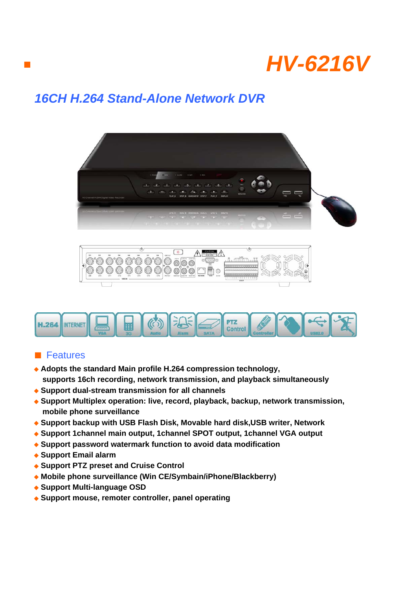

## *16CH H.264 Stand-Alone Network DVR*





## ■ Features

■

- ◆ **Adopts the standard Main profile H.264 compression technology, supports 16ch recording, network transmission, and playback simultaneously**
- ◆ **Support dual-stream transmission for all channels**
- ◆ Support Multiplex operation: live, record, playback, backup, network transmission,  **mobile phone surveillance**
- ◆ **Support backup with USB Flash Disk, Movable hard disk,USB writer, Network**
- ◆ **Support 1channel main output, 1channel SPOT output, 1channel VGA output**
- ◆ **Support password watermark function to avoid data modification**
- ◆ **Support Email alarm**
- ◆ **Support PTZ preset and Cruise Control**
- ◆ **Mobile phone surveillance (Win CE/Symbain/iPhone/Blackberry)**
- ◆ **Support Multi-language OSD**
- ◆ **Support mouse, remoter controller, panel operating**